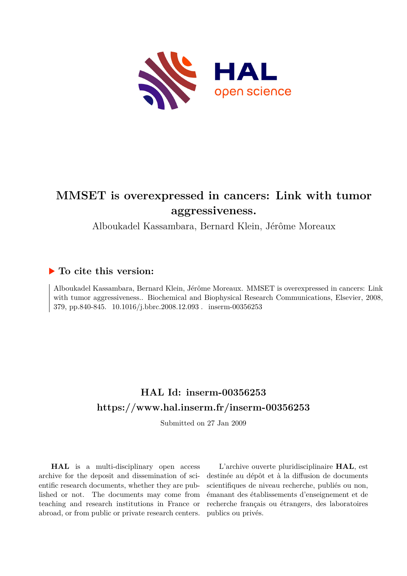

# **MMSET is overexpressed in cancers: Link with tumor aggressiveness.**

Alboukadel Kassambara, Bernard Klein, Jérôme Moreaux

## **To cite this version:**

Alboukadel Kassambara, Bernard Klein, Jérôme Moreaux. MMSET is overexpressed in cancers: Link with tumor aggressiveness.. Biochemical and Biophysical Research Communications, Elsevier, 2008, 379, pp.840-845.  $10.1016/j.bbrc.2008.12.093$ . inserm-00356253

# **HAL Id: inserm-00356253 <https://www.hal.inserm.fr/inserm-00356253>**

Submitted on 27 Jan 2009

**HAL** is a multi-disciplinary open access archive for the deposit and dissemination of scientific research documents, whether they are published or not. The documents may come from teaching and research institutions in France or abroad, or from public or private research centers.

L'archive ouverte pluridisciplinaire **HAL**, est destinée au dépôt et à la diffusion de documents scientifiques de niveau recherche, publiés ou non, émanant des établissements d'enseignement et de recherche français ou étrangers, des laboratoires publics ou privés.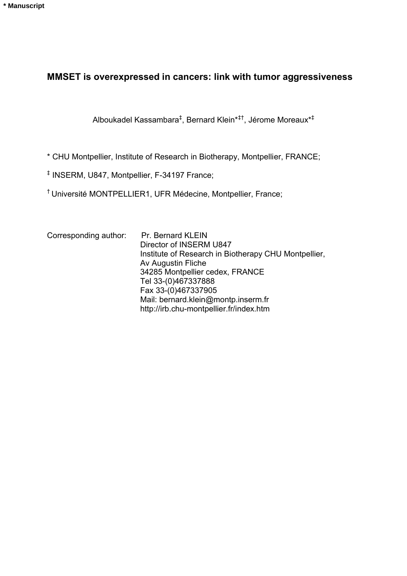# **MMSET is overexpressed in cancers: link with tumor aggressiveness**

Alboukadel Kassambara‡ , Bernard Klein\*‡†, Jérome Moreaux\*‡

\* CHU Montpellier, Institute of Research in Biotherapy, Montpellier, FRANCE;

‡ INSERM, U847, Montpellier, F-34197 France;

† Université MONTPELLIER1, UFR Médecine, Montpellier, France;

| Corresponding author: | Pr. Bernard KLEIN                                    |
|-----------------------|------------------------------------------------------|
|                       | Director of INSERM U847                              |
|                       | Institute of Research in Biotherapy CHU Montpellier, |
|                       | Av Augustin Fliche                                   |
|                       | 34285 Montpellier cedex, FRANCE                      |
|                       | Tel 33-(0)467337888                                  |
|                       | Fax 33-(0)467337905                                  |
|                       | Mail: bernard.klein@montp.inserm.fr                  |
|                       | http://irb.chu-montpellier.fr/index.htm              |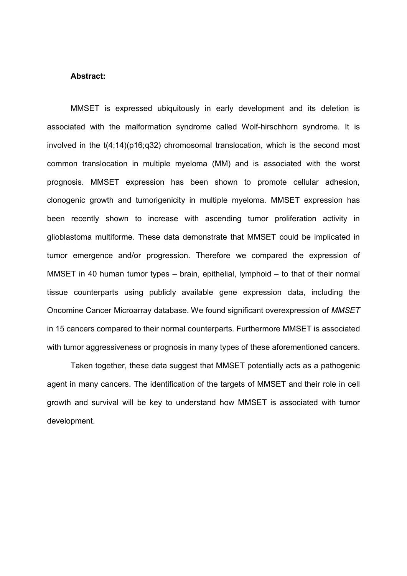#### **Abstract:**

MMSET is expressed ubiquitously in early development and its deletion is associated with the malformation syndrome called Wolf-hirschhorn syndrome. It is involved in the t(4;14)(p16;q32) chromosomal translocation, which is the second most common translocation in multiple myeloma (MM) and is associated with the worst prognosis. MMSET expression has been shown to promote cellular adhesion, clonogenic growth and tumorigenicity in multiple myeloma. MMSET expression has been recently shown to increase with ascending tumor proliferation activity in glioblastoma multiforme. These data demonstrate that MMSET could be implicated in tumor emergence and/or progression. Therefore we compared the expression of MMSET in 40 human tumor types – brain, epithelial, lymphoid – to that of their normal tissue counterparts using publicly available gene expression data, including the Oncomine Cancer Microarray database. We found significant overexpression of *MMSET*  in 15 cancers compared to their normal counterparts. Furthermore MMSET is associated with tumor aggressiveness or prognosis in many types of these aforementioned cancers.

Taken together, these data suggest that MMSET potentially acts as a pathogenic agent in many cancers. The identification of the targets of MMSET and their role in cell growth and survival will be key to understand how MMSET is associated with tumor development.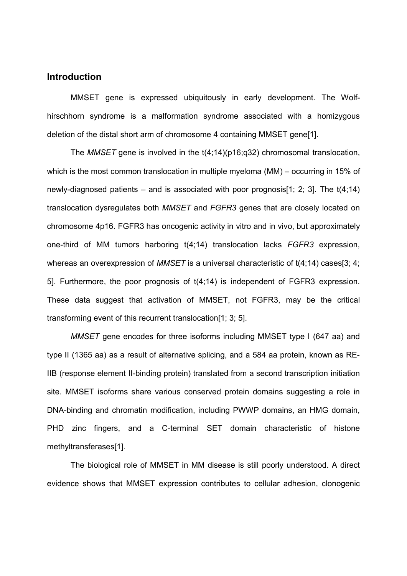### **Introduction**

MMSET gene is expressed ubiquitously in early development. The Wolfhirschhorn syndrome is a malformation syndrome associated with a homizygous deletion of the distal short arm of chromosome 4 containing MMSET gene[1].

The *MMSET* gene is involved in the t(4;14)(p16;q32) chromosomal translocation, which is the most common translocation in multiple myeloma (MM) – occurring in 15% of newly-diagnosed patients – and is associated with poor prognosis [1; 2; 3]. The  $t(4;14)$ translocation dysregulates both *MMSET* and *FGFR3* genes that are closely located on chromosome 4p16. FGFR3 has oncogenic activity in vitro and in vivo, but approximately one-third of MM tumors harboring t(4;14) translocation lacks *FGFR3* expression, whereas an overexpression of *MMSET* is a universal characteristic of t(4;14) cases[3; 4; 5]. Furthermore, the poor prognosis of t(4;14) is independent of FGFR3 expression. These data suggest that activation of MMSET, not FGFR3, may be the critical transforming event of this recurrent translocation[1; 3; 5].

*MMSET* gene encodes for three isoforms including MMSET type I (647 aa) and type II (1365 aa) as a result of alternative splicing, and a 584 aa protein, known as RE-IIB (response element II-binding protein) translated from a second transcription initiation site. MMSET isoforms share various conserved protein domains suggesting a role in DNA-binding and chromatin modification, including PWWP domains, an HMG domain, PHD zinc fingers, and a C-terminal SET domain characteristic of histone methyltransferases[1].

The biological role of MMSET in MM disease is still poorly understood. A direct evidence shows that MMSET expression contributes to cellular adhesion, clonogenic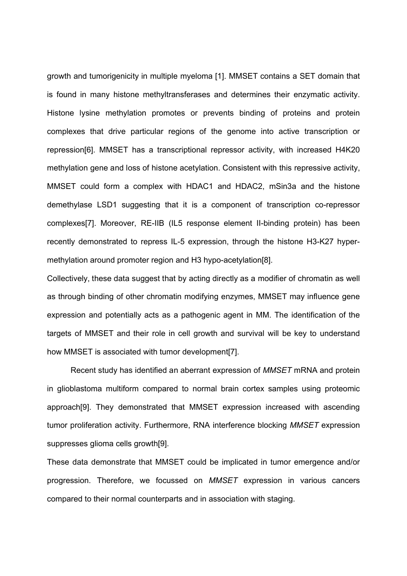growth and tumorigenicity in multiple myeloma [1]. MMSET contains a SET domain that is found in many histone methyltransferases and determines their enzymatic activity. Histone lysine methylation promotes or prevents binding of proteins and protein complexes that drive particular regions of the genome into active transcription or repression[6]. MMSET has a transcriptional repressor activity, with increased H4K20 methylation gene and loss of histone acetylation. Consistent with this repressive activity, MMSET could form a complex with HDAC1 and HDAC2, mSin3a and the histone demethylase LSD1 suggesting that it is a component of transcription co-repressor complexes[7]. Moreover, RE-IIB (IL5 response element II-binding protein) has been recently demonstrated to repress IL-5 expression, through the histone H3-K27 hypermethylation around promoter region and H3 hypo-acetylation[8].

Collectively, these data suggest that by acting directly as a modifier of chromatin as well as through binding of other chromatin modifying enzymes, MMSET may influence gene expression and potentially acts as a pathogenic agent in MM. The identification of the targets of MMSET and their role in cell growth and survival will be key to understand how MMSET is associated with tumor development[7].

Recent study has identified an aberrant expression of *MMSET* mRNA and protein in glioblastoma multiform compared to normal brain cortex samples using proteomic approach[9]. They demonstrated that MMSET expression increased with ascending tumor proliferation activity. Furthermore, RNA interference blocking *MMSET* expression suppresses glioma cells growth[9].

These data demonstrate that MMSET could be implicated in tumor emergence and/or progression. Therefore, we focussed on *MMSET* expression in various cancers compared to their normal counterparts and in association with staging.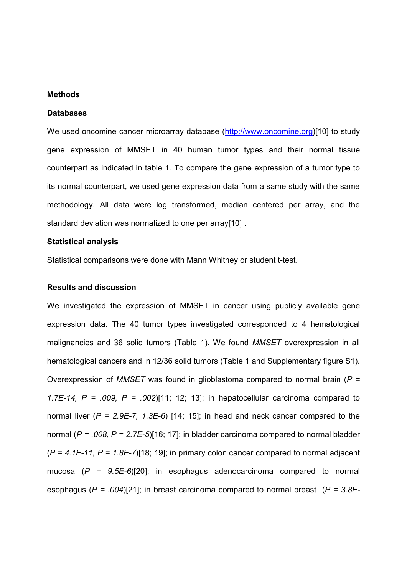### **Methods**

#### **Databases**

We used oncomine cancer microarray database ([http://www.oncomine.org\)](http://www.oncomine.org/)[10] to study gene expression of MMSET in 40 human tumor types and their normal tissue counterpart as indicated in table 1. To compare the gene expression of a tumor type to its normal counterpart, we used gene expression data from a same study with the same methodology. All data were log transformed, median centered per array, and the standard deviation was normalized to one per array[10] .

#### **Statistical analysis**

Statistical comparisons were done with Mann Whitney or student t-test.

#### **Results and discussion**

We investigated the expression of MMSET in cancer using publicly available gene expression data. The 40 tumor types investigated corresponded to 4 hematological malignancies and 36 solid tumors (Table 1). We found *MMSET* overexpression in all hematological cancers and in 12/36 solid tumors (Table 1 and Supplementary figure S1). Overexpression of *MMSET* was found in glioblastoma compared to normal brain (*P = 1.7E-14, P = .009, P = .002*)[11; 12; 13]; in hepatocellular carcinoma compared to normal liver (*P = 2.9E-7, 1.3E-6*) [14; 15]; in head and neck cancer compared to the normal (*P = .008, P = 2.7E-5*)[16; 17]; in bladder carcinoma compared to normal bladder (*P = 4.1E-11, P = 1.8E-7*)[18; 19]; in primary colon cancer compared to normal adjacent mucosa (*P = 9.5E-6*)[20]; in esophagus adenocarcinoma compared to normal esophagus (*P = .004*)[21]; in breast carcinoma compared to normal breast (*P = 3.8E-*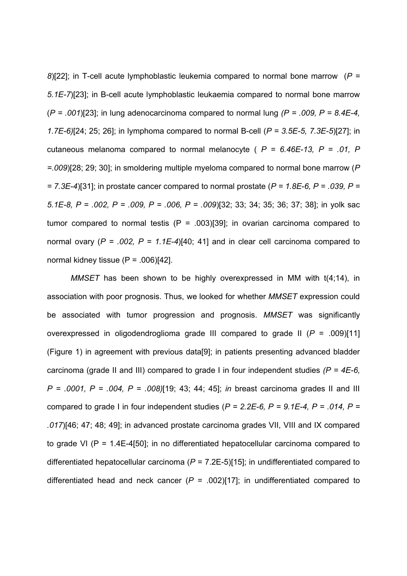*8*)[22]; in T-cell acute lymphoblastic leukemia compared to normal bone marrow (*P = 5.1E-7*)[23]; in B-cell acute lymphoblastic leukaemia compared to normal bone marrow (*P = .001*)[23]; in lung adenocarcinoma compared to normal lung *(P = .009, P = 8.4E-4, 1.7E-6)*[24; 25; 26]; in lymphoma compared to normal B-cell (*P = 3.5E-5, 7.3E-5*)[27]; in cutaneous melanoma compared to normal melanocyte ( *P = 6.46E-13, P = .01, P =.009*)[28; 29; 30]; in smoldering multiple myeloma compared to normal bone marrow (*P = 7.3E-4*)[31]; in prostate cancer compared to normal prostate (*P = 1.8E-6, P = .039, P = 5.1E-8, P = .002, P = .009, P = .006, P = .009*)[32; 33; 34; 35; 36; 37; 38]; in yolk sac tumor compared to normal testis  $(P = .003)[39]$ ; in ovarian carcinoma compared to normal ovary (*P = .002, P = 1.1E-4*)[40; 41] and in clear cell carcinoma compared to normal kidney tissue  $(P = .006)[42]$ .

*MMSET* has been shown to be highly overexpressed in MM with t(4;14), in association with poor prognosis. Thus, we looked for whether *MMSET* expression could be associated with tumor progression and prognosis. *MMSET* was significantly overexpressed in oligodendroglioma grade III compared to grade II (*P* = .009)[11] (Figure 1) in agreement with previous data[9]; in patients presenting advanced bladder carcinoma (grade II and III) compared to grade I in four independent studies *(P = 4E-6, P = .0001, P = .004, P = .008)*[19; 43; 44; 45]; *in* breast carcinoma grades II and III compared to grade I in four independent studies (*P = 2.2E-6, P = 9.1E-4, P = .014, P = .017*)[46; 47; 48; 49]; in advanced prostate carcinoma grades VII, VIII and IX compared to grade VI (P = 1.4E-4[50]; in no differentiated hepatocellular carcinoma compared to differentiated hepatocellular carcinoma (*P* = 7.2E-5)[15]; in undifferentiated compared to differentiated head and neck cancer  $(P = .002)[17]$ ; in undifferentiated compared to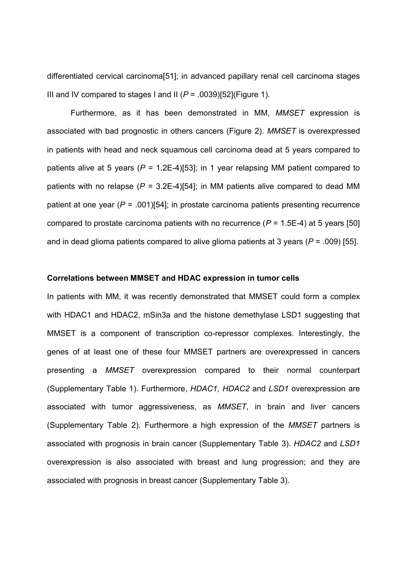differentiated cervical carcinoma[51]; in advanced papillary renal cell carcinoma stages III and IV compared to stages I and II  $(P = .0039)$ [52] (Figure 1).

Furthermore, as it has been demonstrated in MM, *MMSET* expression is associated with bad prognostic in others cancers (Figure 2). *MMSET* is overexpressed in patients with head and neck squamous cell carcinoma dead at 5 years compared to patients alive at 5 years (*P* = 1.2E-4)[53]; in 1 year relapsing MM patient compared to patients with no relapse  $(P = 3.2E-4)$ [54]; in MM patients alive compared to dead MM patient at one year (*P* = .001)[54]; in prostate carcinoma patients presenting recurrence compared to prostate carcinoma patients with no recurrence  $(P = 1.5E-4)$  at 5 years [50] and in dead glioma patients compared to alive glioma patients at 3 years (*P* = .009) [55].

#### **Correlations between MMSET and HDAC expression in tumor cells**

In patients with MM, it was recently demonstrated that MMSET could form a complex with HDAC1 and HDAC2, mSin3a and the histone demethylase LSD1 suggesting that MMSET is a component of transcription co-repressor complexes. Interestingly, the genes of at least one of these four MMSET partners are overexpressed in cancers presenting a *MMSET* overexpression compared to their normal counterpart (Supplementary Table 1). Furthermore, *HDAC1, HDAC2* and *LSD1* overexpression are associated with tumor aggressiveness, as *MMSET*, in brain and liver cancers (Supplementary Table 2). Furthermore a high expression of the *MMSET* partners is associated with prognosis in brain cancer (Supplementary Table 3). *HDAC2* and *LSD1* overexpression is also associated with breast and lung progression; and they are associated with prognosis in breast cancer (Supplementary Table 3).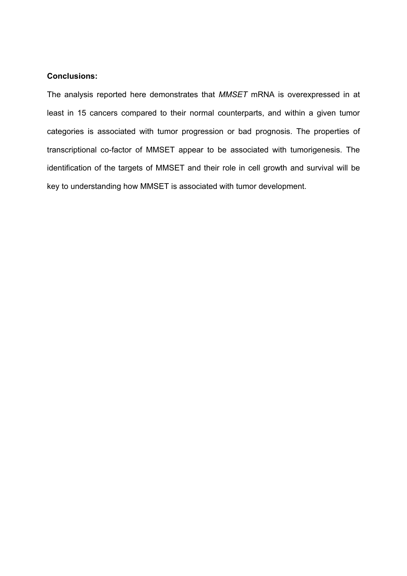### **Conclusions:**

The analysis reported here demonstrates that *MMSET* mRNA is overexpressed in at least in 15 cancers compared to their normal counterparts, and within a given tumor categories is associated with tumor progression or bad prognosis. The properties of transcriptional co-factor of MMSET appear to be associated with tumorigenesis. The identification of the targets of MMSET and their role in cell growth and survival will be key to understanding how MMSET is associated with tumor development.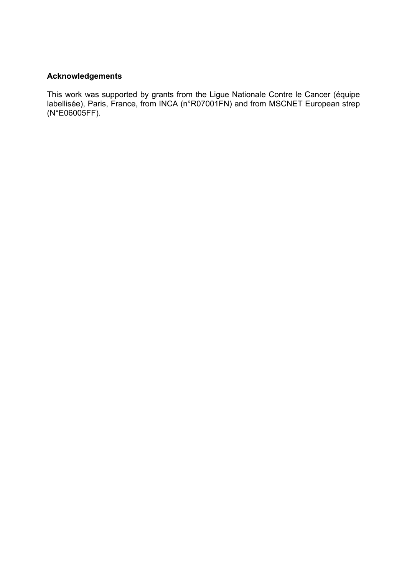## **Acknowledgements**

This work was supported by grants from the Ligue Nationale Contre le Cancer (équipe labellisée), Paris, France, from INCA (n°R07001FN) and from MSCNET European strep (N°E06005FF).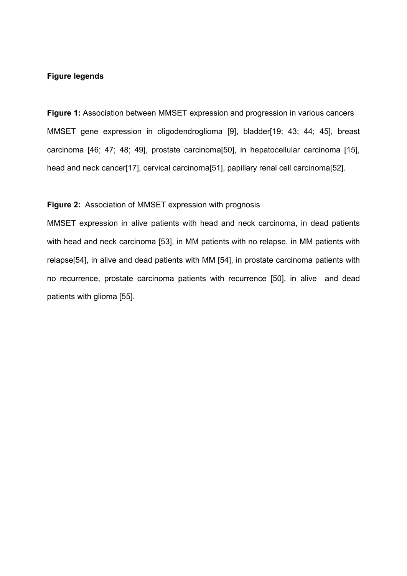### **Figure legends**

**Figure 1:** Association between MMSET expression and progression in various cancers MMSET gene expression in oligodendroglioma [9], bladder[19; 43; 44; 45], breast carcinoma [46; 47; 48; 49], prostate carcinoma[50], in hepatocellular carcinoma [15], head and neck cancer[17], cervical carcinoma[51], papillary renal cell carcinoma[52].

## **Figure 2:** Association of MMSET expression with prognosis

MMSET expression in alive patients with head and neck carcinoma, in dead patients with head and neck carcinoma [53], in MM patients with no relapse, in MM patients with relapse[54], in alive and dead patients with MM [54], in prostate carcinoma patients with no recurrence, prostate carcinoma patients with recurrence [50], in alive and dead patients with glioma [55].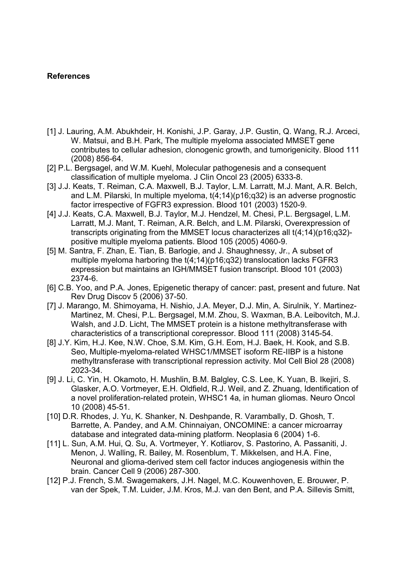### **References**

- [1] J. Lauring, A.M. Abukhdeir, H. Konishi, J.P. Garay, J.P. Gustin, Q. Wang, R.J. Arceci, W. Matsui, and B.H. Park, The multiple myeloma associated MMSET gene contributes to cellular adhesion, clonogenic growth, and tumorigenicity. Blood 111 (2008) 856-64.
- [2] P.L. Bergsagel, and W.M. Kuehl, Molecular pathogenesis and a consequent classification of multiple myeloma. J Clin Oncol 23 (2005) 6333-8.
- [3] J.J. Keats, T. Reiman, C.A. Maxwell, B.J. Taylor, L.M. Larratt, M.J. Mant, A.R. Belch, and L.M. Pilarski, In multiple myeloma, t(4;14)(p16;q32) is an adverse prognostic factor irrespective of FGFR3 expression. Blood 101 (2003) 1520-9.
- [4] J.J. Keats, C.A. Maxwell, B.J. Taylor, M.J. Hendzel, M. Chesi, P.L. Bergsagel, L.M. Larratt, M.J. Mant, T. Reiman, A.R. Belch, and L.M. Pilarski, Overexpression of transcripts originating from the MMSET locus characterizes all t(4;14)(p16;q32) positive multiple myeloma patients. Blood 105 (2005) 4060-9.
- [5] M. Santra, F. Zhan, E. Tian, B. Barlogie, and J. Shaughnessy, Jr., A subset of multiple myeloma harboring the  $t(4;14)$ (p16;q32) translocation lacks FGFR3 expression but maintains an IGH/MMSET fusion transcript. Blood 101 (2003) 2374-6.
- [6] C.B. Yoo, and P.A. Jones, Epigenetic therapy of cancer: past, present and future. Nat Rev Drug Discov 5 (2006) 37-50.
- [7] J. Marango, M. Shimoyama, H. Nishio, J.A. Meyer, D.J. Min, A. Sirulnik, Y. Martinez-Martinez, M. Chesi, P.L. Bergsagel, M.M. Zhou, S. Waxman, B.A. Leibovitch, M.J. Walsh, and J.D. Licht, The MMSET protein is a histone methyltransferase with characteristics of a transcriptional corepressor. Blood 111 (2008) 3145-54.
- [8] J.Y. Kim, H.J. Kee, N.W. Choe, S.M. Kim, G.H. Eom, H.J. Baek, H. Kook, and S.B. Seo, Multiple-myeloma-related WHSC1/MMSET isoform RE-IIBP is a histone methyltransferase with transcriptional repression activity. Mol Cell Biol 28 (2008) 2023-34.
- [9] J. Li, C. Yin, H. Okamoto, H. Mushlin, B.M. Balgley, C.S. Lee, K. Yuan, B. Ikejiri, S. Glasker, A.O. Vortmeyer, E.H. Oldfield, R.J. Weil, and Z. Zhuang, Identification of a novel proliferation-related protein, WHSC1 4a, in human gliomas. Neuro Oncol 10 (2008) 45-51.
- [10] D.R. Rhodes, J. Yu, K. Shanker, N. Deshpande, R. Varambally, D. Ghosh, T. Barrette, A. Pandey, and A.M. Chinnaiyan, ONCOMINE: a cancer microarray database and integrated data-mining platform. Neoplasia 6 (2004) 1-6.
- [11] L. Sun, A.M. Hui, Q. Su, A. Vortmeyer, Y. Kotliarov, S. Pastorino, A. Passaniti, J. Menon, J. Walling, R. Bailey, M. Rosenblum, T. Mikkelsen, and H.A. Fine, Neuronal and glioma-derived stem cell factor induces angiogenesis within the brain. Cancer Cell 9 (2006) 287-300.
- [12] P.J. French, S.M. Swagemakers, J.H. Nagel, M.C. Kouwenhoven, E. Brouwer, P. van der Spek, T.M. Luider, J.M. Kros, M.J. van den Bent, and P.A. Sillevis Smitt,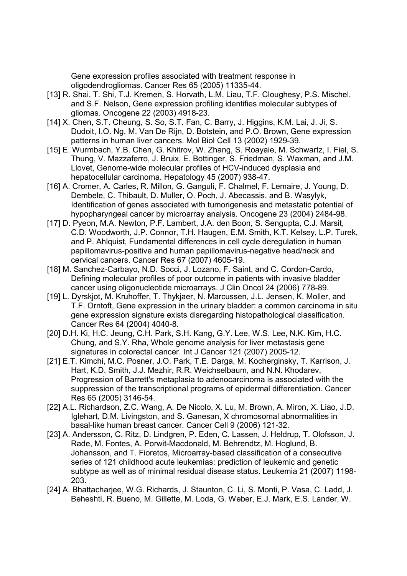Gene expression profiles associated with treatment response in oligodendrogliomas. Cancer Res 65 (2005) 11335-44.

- [13] R. Shai, T. Shi, T.J. Kremen, S. Horvath, L.M. Liau, T.F. Cloughesy, P.S. Mischel, and S.F. Nelson, Gene expression profiling identifies molecular subtypes of gliomas. Oncogene 22 (2003) 4918-23.
- [14] X. Chen, S.T. Cheung, S. So, S.T. Fan, C. Barry, J. Higgins, K.M. Lai, J. Ji, S. Dudoit, I.O. Ng, M. Van De Rijn, D. Botstein, and P.O. Brown, Gene expression patterns in human liver cancers. Mol Biol Cell 13 (2002) 1929-39.
- [15] E. Wurmbach, Y.B. Chen, G. Khitrov, W. Zhang, S. Roayaie, M. Schwartz, I. Fiel, S. Thung, V. Mazzaferro, J. Bruix, E. Bottinger, S. Friedman, S. Waxman, and J.M. Llovet, Genome-wide molecular profiles of HCV-induced dysplasia and hepatocellular carcinoma. Hepatology 45 (2007) 938-47.
- [16] A. Cromer, A. Carles, R. Millon, G. Ganguli, F. Chalmel, F. Lemaire, J. Young, D. Dembele, C. Thibault, D. Muller, O. Poch, J. Abecassis, and B. Wasylyk, Identification of genes associated with tumorigenesis and metastatic potential of hypopharyngeal cancer by microarray analysis. Oncogene 23 (2004) 2484-98.
- [17] D. Pyeon, M.A. Newton, P.F. Lambert, J.A. den Boon, S. Sengupta, C.J. Marsit, C.D. Woodworth, J.P. Connor, T.H. Haugen, E.M. Smith, K.T. Kelsey, L.P. Turek, and P. Ahlquist, Fundamental differences in cell cycle deregulation in human papillomavirus-positive and human papillomavirus-negative head/neck and cervical cancers. Cancer Res 67 (2007) 4605-19.
- [18] M. Sanchez-Carbayo, N.D. Socci, J. Lozano, F. Saint, and C. Cordon-Cardo, Defining molecular profiles of poor outcome in patients with invasive bladder cancer using oligonucleotide microarrays. J Clin Oncol 24 (2006) 778-89.
- [19] L. Dyrskjot, M. Kruhoffer, T. Thykjaer, N. Marcussen, J.L. Jensen, K. Moller, and T.F. Orntoft, Gene expression in the urinary bladder: a common carcinoma in situ gene expression signature exists disregarding histopathological classification. Cancer Res 64 (2004) 4040-8.
- [20] D.H. Ki, H.C. Jeung, C.H. Park, S.H. Kang, G.Y. Lee, W.S. Lee, N.K. Kim, H.C. Chung, and S.Y. Rha, Whole genome analysis for liver metastasis gene signatures in colorectal cancer. Int J Cancer 121 (2007) 2005-12.
- [21] E.T. Kimchi, M.C. Posner, J.O. Park, T.E. Darga, M. Kocherginsky, T. Karrison, J. Hart, K.D. Smith, J.J. Mezhir, R.R. Weichselbaum, and N.N. Khodarev, Progression of Barrett's metaplasia to adenocarcinoma is associated with the suppression of the transcriptional programs of epidermal differentiation. Cancer Res 65 (2005) 3146-54.
- [22] A.L. Richardson, Z.C. Wang, A. De Nicolo, X. Lu, M. Brown, A. Miron, X. Liao, J.D. Iglehart, D.M. Livingston, and S. Ganesan, X chromosomal abnormalities in basal-like human breast cancer. Cancer Cell 9 (2006) 121-32.
- [23] A. Andersson, C. Ritz, D. Lindgren, P. Eden, C. Lassen, J. Heldrup, T. Olofsson, J. Rade, M. Fontes, A. Porwit-Macdonald, M. Behrendtz, M. Hoglund, B. Johansson, and T. Fioretos, Microarray-based classification of a consecutive series of 121 childhood acute leukemias: prediction of leukemic and genetic subtype as well as of minimal residual disease status. Leukemia 21 (2007) 1198- 203.
- [24] A. Bhattacharjee, W.G. Richards, J. Staunton, C. Li, S. Monti, P. Vasa, C. Ladd, J. Beheshti, R. Bueno, M. Gillette, M. Loda, G. Weber, E.J. Mark, E.S. Lander, W.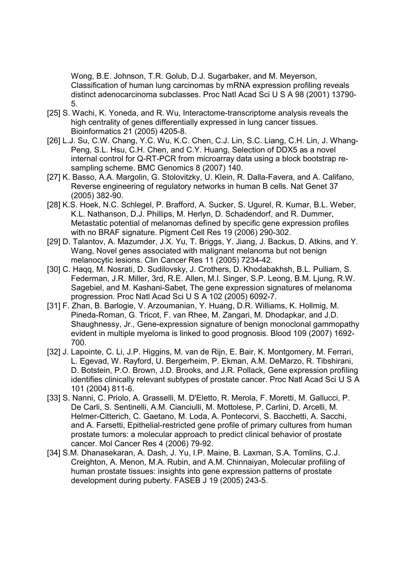Wong, B.E. Johnson, T.R. Golub, D.J. Sugarbaker, and M. Meyerson, Classification of human lung carcinomas by mRNA expression profiling reveals distinct adenocarcinoma subclasses. Proc Natl Acad Sci U S A 98 (2001) 13790- 5.

- [25] S. Wachi, K. Yoneda, and R. Wu, Interactome-transcriptome analysis reveals the high centrality of genes differentially expressed in lung cancer tissues. Bioinformatics 21 (2005) 4205-8.
- [26] L.J. Su, C.W. Chang, Y.C. Wu, K.C. Chen, C.J. Lin, S.C. Liang, C.H. Lin, J. Whang-Peng, S.L. Hsu, C.H. Chen, and C.Y. Huang, Selection of DDX5 as a novel internal control for Q-RT-PCR from microarray data using a block bootstrap resampling scheme. BMC Genomics 8 (2007) 140.
- [27] K. Basso, A.A. Margolin, G. Stolovitzky, U. Klein, R. Dalla-Favera, and A. Califano, Reverse engineering of regulatory networks in human B cells. Nat Genet 37 (2005) 382-90.
- [28] K.S. Hoek, N.C. Schlegel, P. Brafford, A. Sucker, S. Ugurel, R. Kumar, B.L. Weber, K.L. Nathanson, D.J. Phillips, M. Herlyn, D. Schadendorf, and R. Dummer, Metastatic potential of melanomas defined by specific gene expression profiles with no BRAF signature. Pigment Cell Res 19 (2006) 290-302.
- [29] D. Talantov, A. Mazumder, J.X. Yu, T. Briggs, Y. Jiang, J. Backus, D. Atkins, and Y. Wang, Novel genes associated with malignant melanoma but not benign melanocytic lesions. Clin Cancer Res 11 (2005) 7234-42.
- [30] C. Haqq, M. Nosrati, D. Sudilovsky, J. Crothers, D. Khodabakhsh, B.L. Pulliam, S. Federman, J.R. Miller, 3rd, R.E. Allen, M.I. Singer, S.P. Leong, B.M. Ljung, R.W. Sagebiel, and M. Kashani-Sabet, The gene expression signatures of melanoma progression. Proc Natl Acad Sci U S A 102 (2005) 6092-7.
- [31] F. Zhan, B. Barlogie, V. Arzoumanian, Y. Huang, D.R. Williams, K. Hollmig, M. Pineda-Roman, G. Tricot, F. van Rhee, M. Zangari, M. Dhodapkar, and J.D. Shaughnessy, Jr., Gene-expression signature of benign monoclonal gammopathy evident in multiple myeloma is linked to good prognosis. Blood 109 (2007) 1692- 700.
- [32] J. Lapointe, C. Li, J.P. Higgins, M. van de Rijn, E. Bair, K. Montgomery, M. Ferrari, L. Egevad, W. Rayford, U. Bergerheim, P. Ekman, A.M. DeMarzo, R. Tibshirani, D. Botstein, P.O. Brown, J.D. Brooks, and J.R. Pollack, Gene expression profiling identifies clinically relevant subtypes of prostate cancer. Proc Natl Acad Sci U S A 101 (2004) 811-6.
- [33] S. Nanni, C. Priolo, A. Grasselli, M. D'Eletto, R. Merola, F. Moretti, M. Gallucci, P. De Carli, S. Sentinelli, A.M. Cianciulli, M. Mottolese, P. Carlini, D. Arcelli, M. Helmer-Citterich, C. Gaetano, M. Loda, A. Pontecorvi, S. Bacchetti, A. Sacchi, and A. Farsetti, Epithelial-restricted gene profile of primary cultures from human prostate tumors: a molecular approach to predict clinical behavior of prostate cancer. Mol Cancer Res 4 (2006) 79-92.
- [34] S.M. Dhanasekaran, A. Dash, J. Yu, I.P. Maine, B. Laxman, S.A. Tomlins, C.J. Creighton, A. Menon, M.A. Rubin, and A.M. Chinnaiyan, Molecular profiling of human prostate tissues: insights into gene expression patterns of prostate development during puberty. FASEB J 19 (2005) 243-5.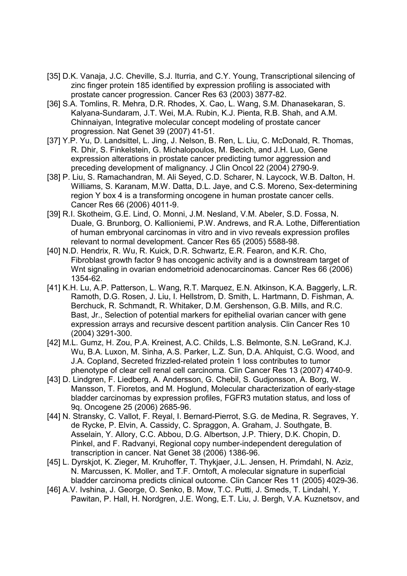- [35] D.K. Vanaja, J.C. Cheville, S.J. Iturria, and C.Y. Young, Transcriptional silencing of zinc finger protein 185 identified by expression profiling is associated with prostate cancer progression. Cancer Res 63 (2003) 3877-82.
- [36] S.A. Tomlins, R. Mehra, D.R. Rhodes, X. Cao, L. Wang, S.M. Dhanasekaran, S. Kalyana-Sundaram, J.T. Wei, M.A. Rubin, K.J. Pienta, R.B. Shah, and A.M. Chinnaiyan, Integrative molecular concept modeling of prostate cancer progression. Nat Genet 39 (2007) 41-51.
- [37] Y.P. Yu, D. Landsittel, L. Jing, J. Nelson, B. Ren, L. Liu, C. McDonald, R. Thomas, R. Dhir, S. Finkelstein, G. Michalopoulos, M. Becich, and J.H. Luo, Gene expression alterations in prostate cancer predicting tumor aggression and preceding development of malignancy. J Clin Oncol 22 (2004) 2790-9.
- [38] P. Liu, S. Ramachandran, M. Ali Seyed, C.D. Scharer, N. Laycock, W.B. Dalton, H. Williams, S. Karanam, M.W. Datta, D.L. Jaye, and C.S. Moreno, Sex-determining region Y box 4 is a transforming oncogene in human prostate cancer cells. Cancer Res 66 (2006) 4011-9.
- [39] R.I. Skotheim, G.E. Lind, O. Monni, J.M. Nesland, V.M. Abeler, S.D. Fossa, N. Duale, G. Brunborg, O. Kallioniemi, P.W. Andrews, and R.A. Lothe, Differentiation of human embryonal carcinomas in vitro and in vivo reveals expression profiles relevant to normal development. Cancer Res 65 (2005) 5588-98.
- [40] N.D. Hendrix, R. Wu, R. Kuick, D.R. Schwartz, E.R. Fearon, and K.R. Cho, Fibroblast growth factor 9 has oncogenic activity and is a downstream target of Wnt signaling in ovarian endometrioid adenocarcinomas. Cancer Res 66 (2006) 1354-62.
- [41] K.H. Lu, A.P. Patterson, L. Wang, R.T. Marquez, E.N. Atkinson, K.A. Baggerly, L.R. Ramoth, D.G. Rosen, J. Liu, I. Hellstrom, D. Smith, L. Hartmann, D. Fishman, A. Berchuck, R. Schmandt, R. Whitaker, D.M. Gershenson, G.B. Mills, and R.C. Bast, Jr., Selection of potential markers for epithelial ovarian cancer with gene expression arrays and recursive descent partition analysis. Clin Cancer Res 10 (2004) 3291-300.
- [42] M.L. Gumz, H. Zou, P.A. Kreinest, A.C. Childs, L.S. Belmonte, S.N. LeGrand, K.J. Wu, B.A. Luxon, M. Sinha, A.S. Parker, L.Z. Sun, D.A. Ahlquist, C.G. Wood, and J.A. Copland, Secreted frizzled-related protein 1 loss contributes to tumor phenotype of clear cell renal cell carcinoma. Clin Cancer Res 13 (2007) 4740-9.
- [43] D. Lindgren, F. Liedberg, A. Andersson, G. Chebil, S. Gudjonsson, A. Borg, W. Mansson, T. Fioretos, and M. Hoglund, Molecular characterization of early-stage bladder carcinomas by expression profiles, FGFR3 mutation status, and loss of 9q. Oncogene 25 (2006) 2685-96.
- [44] N. Stransky, C. Vallot, F. Reyal, I. Bernard-Pierrot, S.G. de Medina, R. Segraves, Y. de Rycke, P. Elvin, A. Cassidy, C. Spraggon, A. Graham, J. Southgate, B. Asselain, Y. Allory, C.C. Abbou, D.G. Albertson, J.P. Thiery, D.K. Chopin, D. Pinkel, and F. Radvanyi, Regional copy number-independent deregulation of transcription in cancer. Nat Genet 38 (2006) 1386-96.
- [45] L. Dyrskjot, K. Zieger, M. Kruhoffer, T. Thykjaer, J.L. Jensen, H. Primdahl, N. Aziz, N. Marcussen, K. Moller, and T.F. Orntoft, A molecular signature in superficial bladder carcinoma predicts clinical outcome. Clin Cancer Res 11 (2005) 4029-36.
- [46] A.V. Ivshina, J. George, O. Senko, B. Mow, T.C. Putti, J. Smeds, T. Lindahl, Y. Pawitan, P. Hall, H. Nordgren, J.E. Wong, E.T. Liu, J. Bergh, V.A. Kuznetsov, and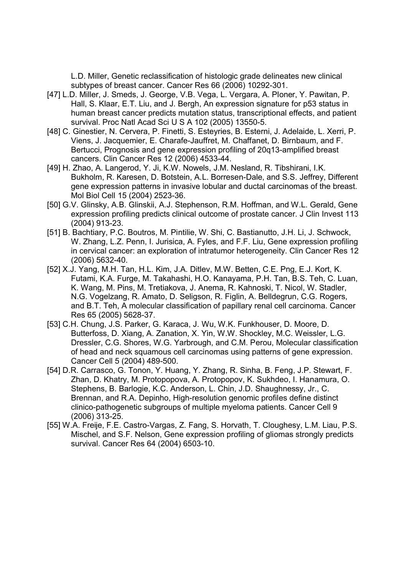L.D. Miller, Genetic reclassification of histologic grade delineates new clinical subtypes of breast cancer. Cancer Res 66 (2006) 10292-301.

- [47] L.D. Miller, J. Smeds, J. George, V.B. Vega, L. Vergara, A. Ploner, Y. Pawitan, P. Hall, S. Klaar, E.T. Liu, and J. Bergh, An expression signature for p53 status in human breast cancer predicts mutation status, transcriptional effects, and patient survival. Proc Natl Acad Sci U S A 102 (2005) 13550-5.
- [48] C. Ginestier, N. Cervera, P. Finetti, S. Esteyries, B. Esterni, J. Adelaide, L. Xerri, P. Viens, J. Jacquemier, E. Charafe-Jauffret, M. Chaffanet, D. Birnbaum, and F. Bertucci, Prognosis and gene expression profiling of 20q13-amplified breast cancers. Clin Cancer Res 12 (2006) 4533-44.
- [49] H. Zhao, A. Langerod, Y. Ji, K.W. Nowels, J.M. Nesland, R. Tibshirani, I.K. Bukholm, R. Karesen, D. Botstein, A.L. Borresen-Dale, and S.S. Jeffrey, Different gene expression patterns in invasive lobular and ductal carcinomas of the breast. Mol Biol Cell 15 (2004) 2523-36.
- [50] G.V. Glinsky, A.B. Glinskii, A.J. Stephenson, R.M. Hoffman, and W.L. Gerald, Gene expression profiling predicts clinical outcome of prostate cancer. J Clin Invest 113 (2004) 913-23.
- [51] B. Bachtiary, P.C. Boutros, M. Pintilie, W. Shi, C. Bastianutto, J.H. Li, J. Schwock, W. Zhang, L.Z. Penn, I. Jurisica, A. Fyles, and F.F. Liu, Gene expression profiling in cervical cancer: an exploration of intratumor heterogeneity. Clin Cancer Res 12 (2006) 5632-40.
- [52] X.J. Yang, M.H. Tan, H.L. Kim, J.A. Ditlev, M.W. Betten, C.E. Png, E.J. Kort, K. Futami, K.A. Furge, M. Takahashi, H.O. Kanayama, P.H. Tan, B.S. Teh, C. Luan, K. Wang, M. Pins, M. Tretiakova, J. Anema, R. Kahnoski, T. Nicol, W. Stadler, N.G. Vogelzang, R. Amato, D. Seligson, R. Figlin, A. Belldegrun, C.G. Rogers, and B.T. Teh, A molecular classification of papillary renal cell carcinoma. Cancer Res 65 (2005) 5628-37.
- [53] C.H. Chung, J.S. Parker, G. Karaca, J. Wu, W.K. Funkhouser, D. Moore, D. Butterfoss, D. Xiang, A. Zanation, X. Yin, W.W. Shockley, M.C. Weissler, L.G. Dressler, C.G. Shores, W.G. Yarbrough, and C.M. Perou, Molecular classification of head and neck squamous cell carcinomas using patterns of gene expression. Cancer Cell 5 (2004) 489-500.
- [54] D.R. Carrasco, G. Tonon, Y. Huang, Y. Zhang, R. Sinha, B. Feng, J.P. Stewart, F. Zhan, D. Khatry, M. Protopopova, A. Protopopov, K. Sukhdeo, I. Hanamura, O. Stephens, B. Barlogie, K.C. Anderson, L. Chin, J.D. Shaughnessy, Jr., C. Brennan, and R.A. Depinho, High-resolution genomic profiles define distinct clinico-pathogenetic subgroups of multiple myeloma patients. Cancer Cell 9 (2006) 313-25.
- [55] W.A. Freije, F.E. Castro-Vargas, Z. Fang, S. Horvath, T. Cloughesy, L.M. Liau, P.S. Mischel, and S.F. Nelson, Gene expression profiling of gliomas strongly predicts survival. Cancer Res 64 (2004) 6503-10.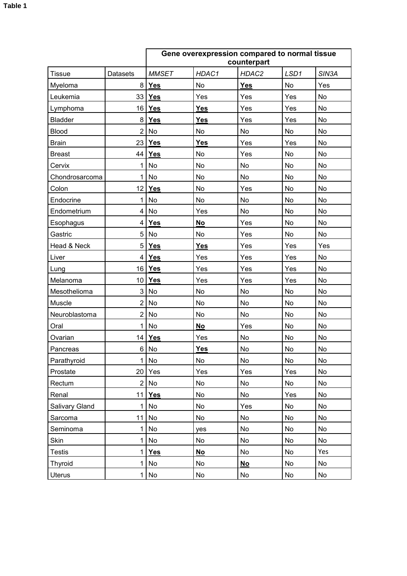|                |                 | Gene overexpression compared to normal tissue<br>counterpart |            |            |           |                    |  |
|----------------|-----------------|--------------------------------------------------------------|------------|------------|-----------|--------------------|--|
| <b>Tissue</b>  | <b>Datasets</b> | <b>MMSET</b>                                                 | HDAC1      | HDAC2      | LSD1      | SIN <sub>3</sub> A |  |
| Myeloma        | 8               | <b>Yes</b>                                                   | No         | <b>Yes</b> | <b>No</b> | Yes                |  |
| Leukemia       | 33              | <b>Yes</b>                                                   | Yes        | Yes        | Yes       | <b>No</b>          |  |
| Lymphoma       | 16              | Yes                                                          | Yes        | Yes        | Yes       | No                 |  |
| <b>Bladder</b> | 8               | <b>Yes</b>                                                   | <b>Yes</b> | Yes        | Yes       | No                 |  |
| <b>Blood</b>   | $\overline{2}$  | No                                                           | No         | No         | <b>No</b> | No                 |  |
| <b>Brain</b>   | 23              | Yes                                                          | <b>Yes</b> | Yes        | Yes       | No                 |  |
| <b>Breast</b>  | 44              | <b>Yes</b>                                                   | No         | Yes        | No        | No                 |  |
| Cervix         | 1               | No                                                           | No         | No         | No        | <b>No</b>          |  |
| Chondrosarcoma | 1               | No                                                           | No         | No         | No        | <b>No</b>          |  |
| Colon          | 12              | Yes                                                          | No         | Yes        | <b>No</b> | <b>No</b>          |  |
| Endocrine      | 1               | No                                                           | No         | No         | No        | <b>No</b>          |  |
| Endometrium    | 4               | <b>No</b>                                                    | Yes        | No         | <b>No</b> | <b>No</b>          |  |
| Esophagus      | 4               | <b>Yes</b>                                                   | No         | Yes        | No        | <b>No</b>          |  |
| Gastric        | 5               | No                                                           | <b>No</b>  | Yes        | No        | <b>No</b>          |  |
| Head & Neck    | 5               | Yes                                                          | <b>Yes</b> | Yes        | Yes       | Yes                |  |
| Liver          | 4               | <b>Yes</b>                                                   | Yes        | Yes        | Yes       | <b>No</b>          |  |
| Lung           | 16              | <b>Yes</b>                                                   | Yes        | Yes        | Yes       | <b>No</b>          |  |
| Melanoma       | 10              | <b>Yes</b>                                                   | Yes        | Yes        | Yes       | <b>No</b>          |  |
| Mesothelioma   | 3               | No                                                           | No         | No         | No        | <b>No</b>          |  |
| Muscle         | $\overline{2}$  | No                                                           | No         | No         | No        | <b>No</b>          |  |
| Neuroblastoma  | $\overline{2}$  | No                                                           | No         | No         | No        | No                 |  |
| Oral           | 1               | <b>No</b>                                                    | <b>No</b>  | Yes        | <b>No</b> | <b>No</b>          |  |
| Ovarian        | 14              | <b>Yes</b>                                                   | Yes        | No         | No        | No                 |  |
| Pancreas       | 6               | No                                                           | <b>Yes</b> | No         | No        | No                 |  |
| Parathyroid    | 1               | No                                                           | No         | No         | No        | No                 |  |
| Prostate       | 20              | Yes                                                          | Yes        | Yes        | Yes       | No                 |  |
| Rectum         | $\overline{2}$  | No                                                           | No         | No         | No        | <b>No</b>          |  |
| Renal          | 11              | <b>Yes</b>                                                   | No         | No         | Yes       | No                 |  |
| Salivary Gland | 1               | No                                                           | No         | Yes        | No        | No                 |  |
| Sarcoma        | 11              | No                                                           | No         | No         | No        | No                 |  |
| Seminoma       | 1               | No                                                           | yes        | No         | No        | No                 |  |
| Skin           | 1               | No                                                           | No         | No         | No        | <b>No</b>          |  |
| <b>Testis</b>  | 1               | <b>Yes</b>                                                   | No         | No         | No        | Yes                |  |
| <b>Thyroid</b> | $\mathbf 1$     | No                                                           | No         | $No$       | No        | <b>No</b>          |  |
| <b>Uterus</b>  | 1               | No                                                           | No         | No         | No        | No                 |  |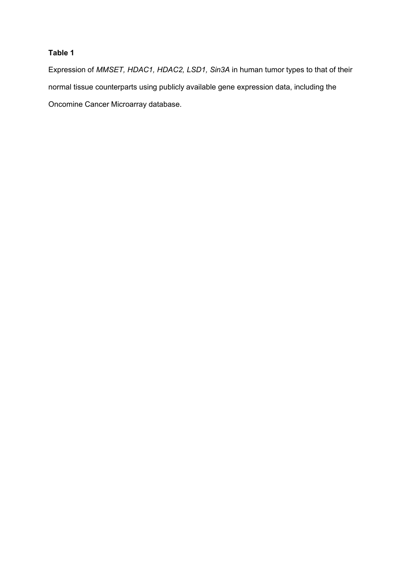## **Table 1**

Expression of *MMSET, HDAC1, HDAC2, LSD1, Sin3A* in human tumor types to that of their normal tissue counterparts using publicly available gene expression data, including the Oncomine Cancer Microarray database.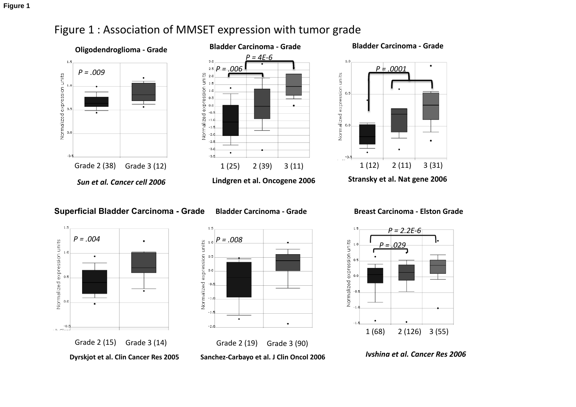

# Figure 1 : Association of MMSET expression with tumor grade



**Superficial Bladder Carcinoma - Grade** 



**Bladder
Carcinoma
‐
Grade** 



1.5 *P
=
2.2E‐6*

**Breast
Carcinoma
‐
Elston
Grade** 



*Ivshina
et
al.
Cancer
Res
2006* 



Sanchez-Carbayo et al. J Clin Oncol 2006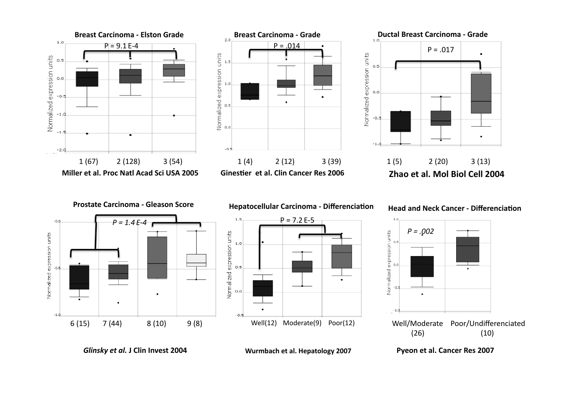

**Wurmbach
et
al.
Hepatology
2007** 

*Glinsky
et
al.* **J
Clin
Invest
2004**

**Pyeon
et
al.
Cancer
Res
2007**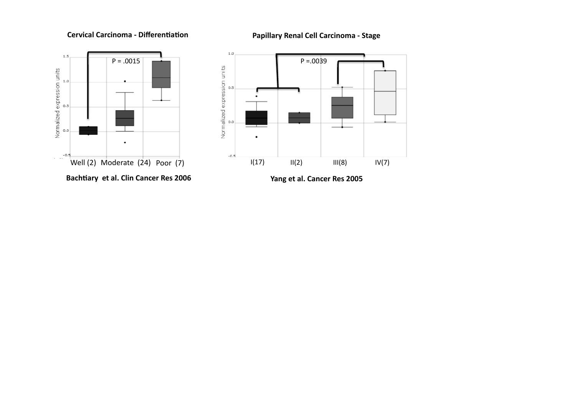## **Cervical Carcinoma - Differentiation**

**Papillary
Renal
Cell
Carcinoma
‐
Stage** 





**Yang
et
al.
Cancer
Res
2005**